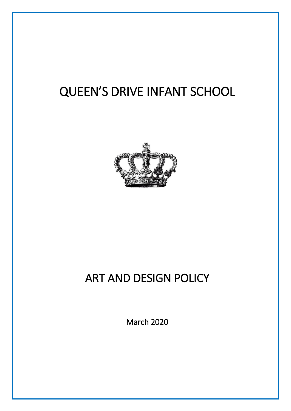# QUEEN'S DRIVE INFANT SCHOOL



## ART AND DESIGN POLICY

March 2020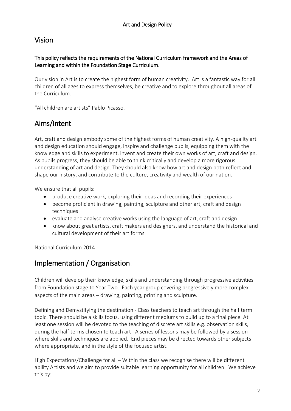#### Vision

#### This policy reflects the requirements of the National Curriculum framework and the Areas of Learning and within the Foundation Stage Curriculum.

Our vision in Art is to create the highest form of human creativity. Art is a fantastic way for all children of all ages to express themselves, be creative and to explore throughout all areas of the Curriculum.

"All children are artists" Pablo Picasso.

#### Aims/Intent

Art, craft and design embody some of the highest forms of human creativity. A high-quality art and design education should engage, inspire and challenge pupils, equipping them with the knowledge and skills to experiment, invent and create their own works of art, craft and design. As pupils progress, they should be able to think critically and develop a more rigorous understanding of art and design. They should also know how art and design both reflect and shape our history, and contribute to the culture, creativity and wealth of our nation.

We ensure that all pupils:

- produce creative work, exploring their ideas and recording their experiences
- become proficient in drawing, painting, sculpture and other art, craft and design techniques
- evaluate and analyse creative works using the language of art, craft and design
- know about great artists, craft makers and designers, and understand the historical and cultural development of their art forms.

National Curriculum 2014

### Implementation / Organisation

Children will develop their knowledge, skills and understanding through progressive activities from Foundation stage to Year Two. Each year group covering progressively more complex aspects of the main areas – drawing, painting, printing and sculpture.

Defining and Demystifying the destination - Class teachers to teach art through the half term topic. There should be a skills focus, using different mediums to build up to a final piece. At least one session will be devoted to the teaching of discrete art skills e.g. observation skills, during the half terms chosen to teach art. A series of lessons may be followed by a session where skills and techniques are applied. End pieces may be directed towards other subjects where appropriate, and in the style of the focused artist.

High Expectations/Challenge for all – Within the class we recognise there will be different ability Artists and we aim to provide suitable learning opportunity for all children. We achieve this by: